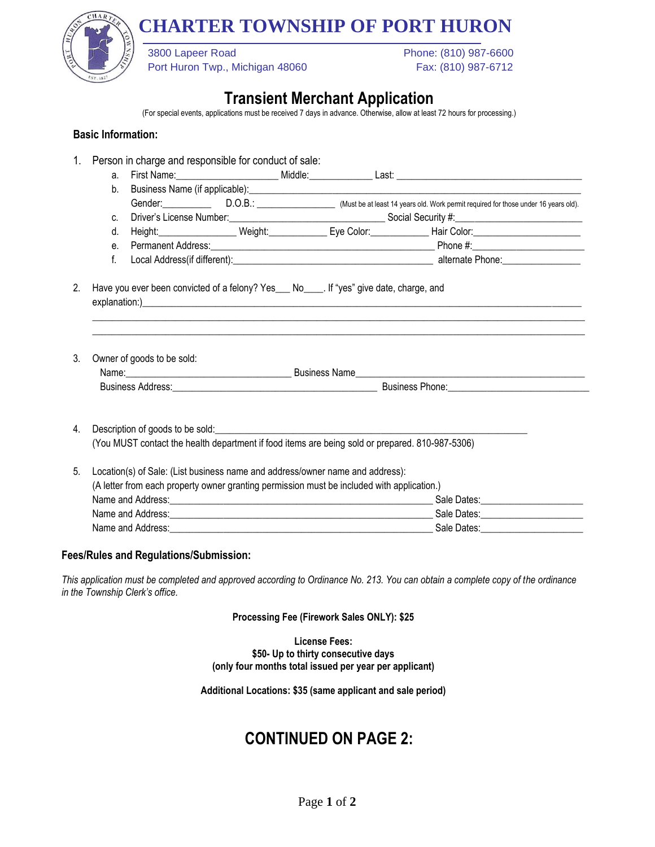# **CHARTER TOWNSHIP OF PORT HURON**



Port Huron Twp., Michigan 48060 Fax: (810) 987-6712

3800 Lapeer Road Phone: (810) 987-6600

### **Transient Merchant Application**

(For special events, applications must be received 7 days in advance. Otherwise, allow at least 72 hours for processing.)

#### **Basic Information:**

1. Person in charge and responsible for conduct of sale: a. First Name:\_\_\_\_\_\_\_\_\_\_\_\_\_\_\_\_\_\_\_\_\_ Middle:\_\_\_\_\_\_\_\_\_\_\_\_\_ Last: \_\_\_\_\_\_\_\_\_\_\_\_\_\_\_\_\_\_\_\_\_\_\_\_\_\_\_\_\_\_\_\_\_\_\_\_\_\_ b. Business Name (if applicable): **[16]** Gender: D.O.B.: D.O.B.: Must be at least 14 years old. Work permit required for those under 16 years old). c. Driver's License Number:\_\_\_\_\_\_\_\_\_\_\_\_\_\_\_\_\_\_\_\_\_\_\_\_\_\_\_\_\_\_\_\_ Social Security #:\_\_\_\_\_\_\_\_\_\_\_\_\_\_\_\_\_\_\_\_\_\_\_\_\_\_ d. Height:\_\_\_\_\_\_\_\_\_\_\_\_\_\_\_\_\_\_ Weight:\_\_\_\_\_\_\_\_\_\_\_\_\_\_ Eye Color:\_\_\_\_\_\_\_\_\_\_\_\_\_\_\_\_\_\_\_Hair Color:\_\_\_\_\_\_\_\_\_\_\_\_\_\_\_\_\_\_\_ e. Permanent Address:\_\_\_\_\_\_\_\_\_\_\_\_\_\_\_\_\_\_\_\_\_\_\_\_\_\_\_\_\_\_\_\_\_\_\_\_\_\_\_\_\_\_\_\_\_\_ Phone #:\_\_\_\_\_\_\_\_\_\_\_\_\_\_\_\_\_\_\_\_\_\_\_ f. Local Address(if different): example and the set of the alternate Phone: example alternate Phone: 2. Have you ever been convicted of a felony? Yes\_\_\_ No\_\_\_\_. If "yes" give date, charge, and explanation:)\_\_\_\_\_\_\_\_\_\_\_\_\_\_\_\_\_\_\_\_\_\_\_\_\_\_\_\_\_\_\_\_\_\_\_\_\_\_\_\_\_\_\_\_\_\_\_\_\_\_\_\_\_\_\_\_\_\_\_\_\_\_\_\_\_\_\_\_\_\_\_\_\_\_\_\_\_\_\_\_\_\_\_\_\_\_\_\_\_\_ \_\_\_\_\_\_\_\_\_\_\_\_\_\_\_\_\_\_\_\_\_\_\_\_\_\_\_\_\_\_\_\_\_\_\_\_\_\_\_\_\_\_\_\_\_\_\_\_\_\_\_\_\_\_\_\_\_\_\_\_\_\_\_\_\_\_\_\_\_\_\_\_\_\_\_\_\_\_\_\_\_\_\_\_\_\_\_\_\_\_\_\_\_\_\_\_\_\_\_\_\_ \_\_\_\_\_\_\_\_\_\_\_\_\_\_\_\_\_\_\_\_\_\_\_\_\_\_\_\_\_\_\_\_\_\_\_\_\_\_\_\_\_\_\_\_\_\_\_\_\_\_\_\_\_\_\_\_\_\_\_\_\_\_\_\_\_\_\_\_\_\_\_\_\_\_\_\_\_\_\_\_\_\_\_\_\_\_\_\_\_\_\_\_\_\_\_\_\_\_\_\_\_ 3. Owner of goods to be sold: Name:\_\_\_\_\_\_\_\_\_\_\_\_\_\_\_\_\_\_\_\_\_\_\_\_\_\_\_\_\_\_\_\_\_\_ Business Name\_\_\_\_\_\_\_\_\_\_\_\_\_\_\_\_\_\_\_\_\_\_\_\_\_\_\_\_\_\_\_\_\_\_\_\_\_\_\_\_\_\_\_\_\_\_\_ Business Address:\_\_\_\_\_\_\_\_\_\_\_\_\_\_\_\_\_\_\_\_\_\_\_\_\_\_\_\_\_\_\_\_\_\_\_\_\_\_\_\_\_\_ Business Phone:\_\_\_\_\_\_\_\_\_\_\_\_\_\_\_\_\_\_\_\_\_\_\_\_\_\_\_\_\_ 4. Description of goods to be sold: (You MUST contact the health department if food items are being sold or prepared. 810-987-5306) 5. Location(s) of Sale: (List business name and address/owner name and address): (A letter from each property owner granting permission must be included with application.) Name and Address:\_\_\_\_\_\_\_\_\_\_\_\_\_\_\_\_\_\_\_\_\_\_\_\_\_\_\_\_\_\_\_\_\_\_\_\_\_\_\_\_\_\_\_\_\_\_\_\_\_\_\_\_\_\_ Sale Dates:\_\_\_\_\_\_\_\_\_\_\_\_\_\_\_\_\_\_\_\_\_ Name and Address: example and Address: example and Address and Address and Address and Address and Address and  $\mathbb{R}$  and  $\mathbb{R}$  and  $\mathbb{R}$  are  $\mathbb{R}$  and  $\mathbb{R}$  are  $\mathbb{R}$  and  $\mathbb{R}$  are  $\mathbb{R}$  and  $\mathbb{R}$ Name and Address: example and Address: example and Address: example and Address:  $\Box$ 

#### **Fees/Rules and Regulations/Submission:**

*This application must be completed and approved according to Ordinance No. 213. You can obtain a complete copy of the ordinance in the Township Clerk's office.*

**Processing Fee (Firework Sales ONLY): \$25**

**License Fees: \$50- Up to thirty consecutive days (only four months total issued per year per applicant)**

**Additional Locations: \$35 (same applicant and sale period)**

## **CONTINUED ON PAGE 2:**